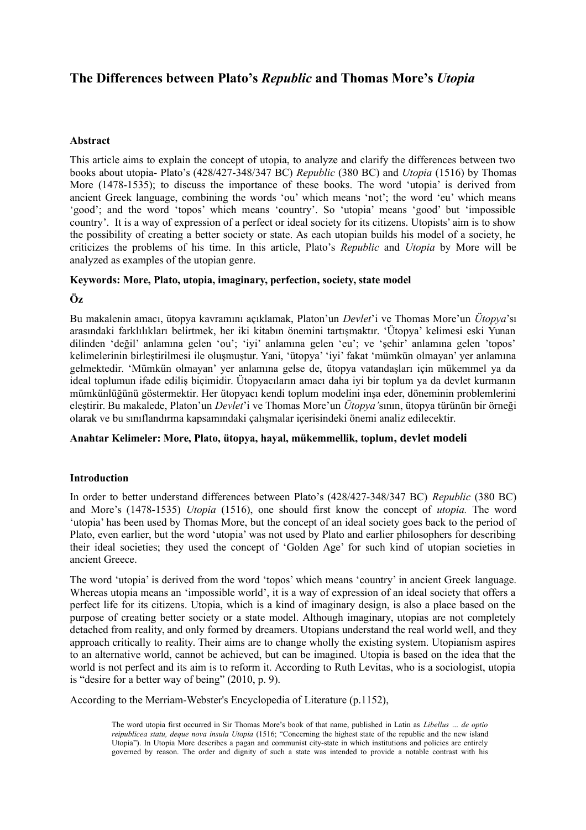# **The Differences between Plato's** *Republic* **and Thomas More's** *Utopia*

## **Abstract**

This article aims to explain the concept of utopia, to analyze and clarify the differences between two books about utopia- Plato's (428/427-348/347 BC) *Republic* (380 BC) and *Utopia* (1516) by Thomas More (1478-1535); to discuss the importance of these books. The word 'utopia' is derived from ancient Greek language, combining the words 'ou' which means 'not'; the word 'eu' which means 'good'; and the word 'topos' which means 'country'. So 'utopia' means 'good' but 'impossible country'. It is a way of expression of a perfect or ideal society for its citizens. Utopists' aim is to show the possibility of creating a better society or state. As each utopian builds his model of a society, he criticizes the problems of his time. In this article, Plato's *Republic* and *Utopia* by More will be analyzed as examples of the utopian genre.

## **Keywords: More, Plato, utopia, imaginary, perfection, society, state model**

**Öz**

Bu makalenin amacı, ütopya kavramını açıklamak, Platon'un *Devlet*'i ve Thomas More'un *Ütopya*'sı arasındaki farklılıkları belirtmek, her iki kitabın önemini tartışmaktır. 'Ütopya' kelimesi eski Yunan dilinden 'değil' anlamına gelen 'ou'; 'iyi' anlamına gelen 'eu'; ve 'şehir' anlamına gelen 'topos' kelimelerinin birleştirilmesi ile oluşmuştur. Yani, 'ütopya' 'iyi' fakat 'mümkün olmayan' yer anlamına gelmektedir. 'Mümkün olmayan' yer anlamına gelse de, ütopya vatandaşları için mükemmel ya da ideal toplumun ifade ediliş biçimidir. Ütopyacıların amacı daha iyi bir toplum ya da devlet kurmanın mümkünlüğünü göstermektir. Her ütopyacı kendi toplum modelini inşa eder, döneminin problemlerini eleştirir. Bu makalede, Platon'un *Devlet*'i ve Thomas More'un *Ütopya'*sının, ütopya türünün bir örneği olarak ve bu sınıflandırma kapsamındaki çalışmalar içerisindeki önemi analiz edilecektir.

### **Anahtar Kelimeler: More, Plato, ütopya, hayal, mükemmellik, toplum, devlet modeli**

#### **Introduction**

In order to better understand differences between Plato's (428/427-348/347 BC) *Republic* (380 BC) and More's (1478-1535) *Utopia* (1516), one should first know the concept of *utopia.* The word 'utopia' has been used by Thomas More, but the concept of an ideal society goes back to the period of Plato, even earlier, but the word 'utopia' was not used by Plato and earlier philosophers for describing their ideal societies; they used the concept of 'Golden Age' for such kind of utopian societies in ancient Greece.

The word 'utopia' is derived from the word 'topos' which means 'country' in ancient Greek language. Whereas utopia means an 'impossible world', it is a way of expression of an ideal society that offers a perfect life for its citizens. Utopia, which is a kind of imaginary design, is also a place based on the purpose of creating better society or a state model. Although imaginary, utopias are not completely detached from reality, and only formed by dreamers. Utopians understand the real world well, and they approach critically to reality. Their aims are to change wholly the existing system. Utopianism aspires to an alternative world, cannot be achieved, but can be imagined. Utopia is based on the idea that the world is not perfect and its aim is to reform it. According to Ruth Levitas, who is a sociologist, utopia is "desire for a better way of being" (2010, p. 9).

According to the Merriam-Webster's Encyclopedia of Literature (p.1152),

The word utopia first occurred in Sir Thomas More's book of that name, published in Latin as *Libellus … de optio reipublicea statu, deque nova insula Utopia* (1516; "Concerning the highest state of the republic and the new island Utopia"). In Utopia More describes a pagan and communist city-state in which institutions and policies are entirely governed by reason. The order and dignity of such a state was intended to provide a notable contrast with his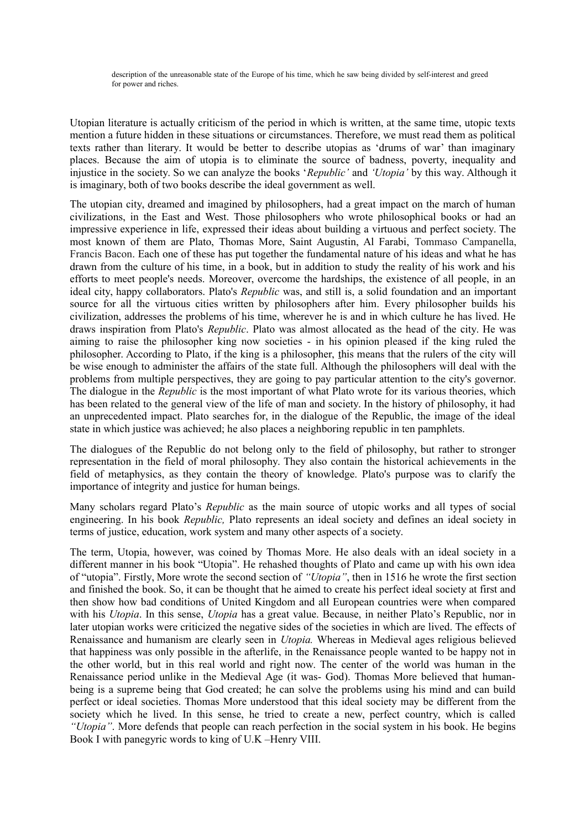description of the unreasonable state of the Europe of his time, which he saw being divided by self-interest and greed for power and riches.

Utopian literature is actually criticism of the period in which is written, at the same time, utopic texts mention a future hidden in these situations or circumstances. Therefore, we must read them as political texts rather than literary. It would be better to describe utopias as 'drums of war' than imaginary places. Because the aim of utopia is to eliminate the source of badness, poverty, inequality and injustice in the society. So we can analyze the books '*Republic'* and *'Utopia'* by this way. Although it is imaginary, both of two books describe the ideal government as well.

The utopian city, dreamed and imagined by philosophers, had a great impact on the march of human civilizations, in the East and West. Those philosophers who wrote philosophical books or had an impressive experience in life, expressed their ideas about building a virtuous and perfect society. The most known of them are Plato, Thomas More, Saint Augustin, Al Farabi, Tommaso Campanella, Francis Bacon. Each one of these has put together the fundamental nature of his ideas and what he has drawn from the culture of his time, in a book, but in addition to study the reality of his work and his efforts to meet people's needs. Moreover, overcome the hardships, the existence of all people, in an ideal city, happy collaborators. Plato's *Republic* was, and still is, a solid foundation and an important source for all the virtuous cities written by philosophers after him. Every philosopher builds his civilization, addresses the problems of his time, wherever he is and in which culture he has lived. He draws inspiration from Plato's *Republic*. Plato was almost allocated as the head of the city. He was aiming to raise the philosopher king now societies - in his opinion pleased if the king ruled the philosopher. According to Plato, if the king is a philosopher, this means that the rulers of the city will be wise enough to administer the affairs of the state full. Although the philosophers will deal with the problems from multiple perspectives, they are going to pay particular attention to the city's governor. The dialogue in the *Republic* is the most important of what Plato wrote for its various theories, which has been related to the general view of the life of man and society. In the history of philosophy, it had an unprecedented impact. Plato searches for, in the dialogue of the Republic, the image of the ideal state in which justice was achieved; he also places a neighboring republic in ten pamphlets.

The dialogues of the Republic do not belong only to the field of philosophy, but rather to stronger representation in the field of moral philosophy. They also contain the historical achievements in the field of metaphysics, as they contain the theory of knowledge. Plato's purpose was to clarify the importance of integrity and justice for human beings.

Many scholars regard Plato's *Republic* as the main source of utopic works and all types of social engineering. In his book *Republic,* Plato represents an ideal society and defines an ideal society in terms of justice, education, work system and many other aspects of a society.

The term, Utopia, however, was coined by Thomas More. He also deals with an ideal society in a different manner in his book "Utopia". He rehashed thoughts of Plato and came up with his own idea of "utopia". Firstly, More wrote the second section of *"Utopia"*, then in 1516 he wrote the first section and finished the book. So, it can be thought that he aimed to create his perfect ideal society at first and then show how bad conditions of United Kingdom and all European countries were when compared with his *Utopia*. In this sense, *Utopia* has a great value. Because, in neither Plato's Republic, nor in later utopian works were criticized the negative sides of the societies in which are lived. The effects of Renaissance and humanism are clearly seen in *Utopia.* Whereas in Medieval ages religious believed that happiness was only possible in the afterlife, in the Renaissance people wanted to be happy not in the other world, but in this real world and right now. The center of the world was human in the Renaissance period unlike in the Medieval Age (it was- God). Thomas More believed that humanbeing is a supreme being that God created; he can solve the problems using his mind and can build perfect or ideal societies. Thomas More understood that this ideal society may be different from the society which he lived. In this sense, he tried to create a new, perfect country, which is called *"Utopia"*. More defends that people can reach perfection in the social system in his book. He begins Book I with panegyric words to king of U.K –Henry VIII.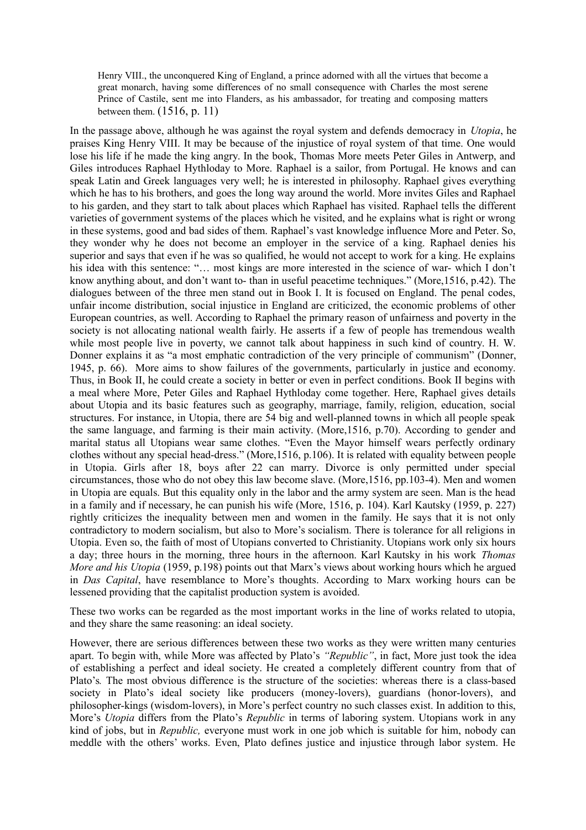Henry VIII., the unconquered King of England, a prince adorned with all the virtues that become a great monarch, having some differences of no small consequence with Charles the most serene Prince of Castile, sent me into Flanders, as his ambassador, for treating and composing matters between them. (1516, p. 11)

In the passage above, although he was against the royal system and defends democracy in *Utopia*, he praises King Henry VIII. It may be because of the injustice of royal system of that time. One would lose his life if he made the king angry. In the book, Thomas More meets Peter Giles in Antwerp, and Giles introduces Raphael Hythloday to More. Raphael is a sailor, from Portugal. He knows and can speak Latin and Greek languages very well; he is interested in philosophy. Raphael gives everything which he has to his brothers, and goes the long way around the world. More invites Giles and Raphael to his garden, and they start to talk about places which Raphael has visited. Raphael tells the different varieties of government systems of the places which he visited, and he explains what is right or wrong in these systems, good and bad sides of them. Raphael's vast knowledge influence More and Peter. So, they wonder why he does not become an employer in the service of a king. Raphael denies his superior and says that even if he was so qualified, he would not accept to work for a king. He explains his idea with this sentence: "... most kings are more interested in the science of war- which I don't know anything about, and don't want to- than in useful peacetime techniques." (More,1516, p.42). The dialogues between of the three men stand out in Book I. It is focused on England. The penal codes, unfair income distribution, social injustice in England are criticized, the economic problems of other European countries, as well. According to Raphael the primary reason of unfairness and poverty in the society is not allocating national wealth fairly. He asserts if a few of people has tremendous wealth while most people live in poverty, we cannot talk about happiness in such kind of country. H. W. Donner explains it as "a most emphatic contradiction of the very principle of communism" (Donner, 1945, p. 66). More aims to show failures of the governments, particularly in justice and economy. Thus, in Book II, he could create a society in better or even in perfect conditions. Book II begins with a meal where More, Peter Giles and Raphael Hythloday come together. Here, Raphael gives details about Utopia and its basic features such as geography, marriage, family, religion, education, social structures. For instance, in Utopia, there are 54 big and well-planned towns in which all people speak the same language, and farming is their main activity. (More,1516, p.70). According to gender and marital status all Utopians wear same clothes. "Even the Mayor himself wears perfectly ordinary clothes without any special head-dress." (More,1516, p.106). It is related with equality between people in Utopia. Girls after 18, boys after 22 can marry. Divorce is only permitted under special circumstances, those who do not obey this law become slave. (More,1516, pp.103-4). Men and women in Utopia are equals. But this equality only in the labor and the army system are seen. Man is the head in a family and if necessary, he can punish his wife (More, 1516, p. 104). Karl Kautsky (1959, p. 227) rightly criticizes the inequality between men and women in the family. He says that it is not only contradictory to modern socialism, but also to More's socialism. There is tolerance for all religions in Utopia. Even so, the faith of most of Utopians converted to Christianity. Utopians work only six hours a day; three hours in the morning, three hours in the afternoon. Karl Kautsky in his work *Thomas More and his Utopia* (1959, p.198) points out that Marx's views about working hours which he argued in *Das Capital*, have resemblance to More's thoughts. According to Marx working hours can be lessened providing that the capitalist production system is avoided.

These two works can be regarded as the most important works in the line of works related to utopia, and they share the same reasoning: an ideal society.

However, there are serious differences between these two works as they were written many centuries apart. To begin with, while More was affected by Plato's *"Republic"*, in fact, More just took the idea of establishing a perfect and ideal society. He created a completely different country from that of Plato's*.* The most obvious difference is the structure of the societies: whereas there is a class-based society in Plato's ideal society like producers (money-lovers), guardians (honor-lovers), and philosopher-kings (wisdom-lovers), in More's perfect country no such classes exist. In addition to this, More's *Utopia* differs from the Plato's *Republic* in terms of laboring system. Utopians work in any kind of jobs, but in *Republic,* everyone must work in one job which is suitable for him, nobody can meddle with the others' works. Even, Plato defines justice and injustice through labor system. He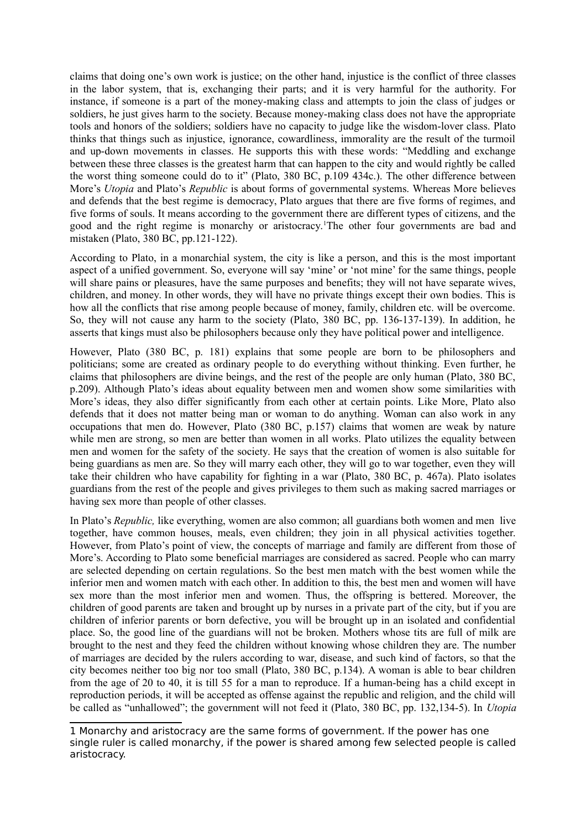claims that doing one's own work is justice; on the other hand, injustice is the conflict of three classes in the labor system, that is, exchanging their parts; and it is very harmful for the authority. For instance, if someone is a part of the money-making class and attempts to join the class of judges or soldiers, he just gives harm to the society. Because money-making class does not have the appropriate tools and honors of the soldiers; soldiers have no capacity to judge like the wisdom-lover class. Plato thinks that things such as injustice, ignorance, cowardliness, immorality are the result of the turmoil and up-down movements in classes. He supports this with these words: "Meddling and exchange between these three classes is the greatest harm that can happen to the city and would rightly be called the worst thing someone could do to it" (Plato, 380 BC, p.109 434c.). The other difference between More's *Utopia* and Plato's *Republic* is about forms of governmental systems. Whereas More believes and defends that the best regime is democracy, Plato argues that there are five forms of regimes, and five forms of souls. It means according to the government there are different types of citizens, and the good and the right regime is monarchy or aristocracy.[1](#page-3-0)The other four governments are bad and mistaken (Plato, 380 BC, pp.121-122).

According to Plato, in a monarchial system, the city is like a person, and this is the most important aspect of a unified government. So, everyone will say 'mine' or 'not mine' for the same things, people will share pains or pleasures, have the same purposes and benefits; they will not have separate wives, children, and money. In other words, they will have no private things except their own bodies. This is how all the conflicts that rise among people because of money, family, children etc. will be overcome. So, they will not cause any harm to the society (Plato, 380 BC, pp. 136-137-139). In addition, he asserts that kings must also be philosophers because only they have political power and intelligence.

However, Plato (380 BC, p. 181) explains that some people are born to be philosophers and politicians; some are created as ordinary people to do everything without thinking. Even further, he claims that philosophers are divine beings, and the rest of the people are only human (Plato, 380 BC, p.209). Although Plato's ideas about equality between men and women show some similarities with More's ideas, they also differ significantly from each other at certain points. Like More, Plato also defends that it does not matter being man or woman to do anything. Woman can also work in any occupations that men do. However, Plato (380 BC, p.157) claims that women are weak by nature while men are strong, so men are better than women in all works. Plato utilizes the equality between men and women for the safety of the society. He says that the creation of women is also suitable for being guardians as men are. So they will marry each other, they will go to war together, even they will take their children who have capability for fighting in a war (Plato, 380 BC, p. 467a). Plato isolates guardians from the rest of the people and gives privileges to them such as making sacred marriages or having sex more than people of other classes.

In Plato's *Republic,* like everything, women are also common; all guardians both women and men live together, have common houses, meals, even children; they join in all physical activities together. However, from Plato's point of view, the concepts of marriage and family are different from those of More's. According to Plato some beneficial marriages are considered as sacred. People who can marry are selected depending on certain regulations. So the best men match with the best women while the inferior men and women match with each other. In addition to this, the best men and women will have sex more than the most inferior men and women. Thus, the offspring is bettered. Moreover, the children of good parents are taken and brought up by nurses in a private part of the city, but if you are children of inferior parents or born defective, you will be brought up in an isolated and confidential place. So, the good line of the guardians will not be broken. Mothers whose tits are full of milk are brought to the nest and they feed the children without knowing whose children they are. The number of marriages are decided by the rulers according to war, disease, and such kind of factors, so that the city becomes neither too big nor too small (Plato, 380 BC, p.134). A woman is able to bear children from the age of 20 to 40, it is till 55 for a man to reproduce. If a human-being has a child except in reproduction periods, it will be accepted as offense against the republic and religion, and the child will be called as "unhallowed"; the government will not feed it (Plato, 380 BC, pp. 132,134-5). In *Utopia*

<span id="page-3-0"></span><sup>1</sup> Monarchy and aristocracy are the same forms of government. If the power has one single ruler is called monarchy, if the power is shared among few selected people is called aristocracy.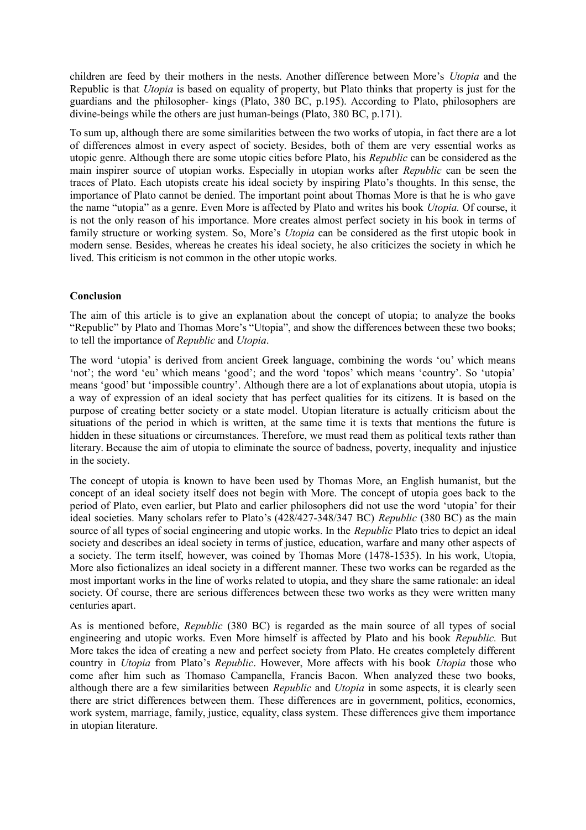children are feed by their mothers in the nests. Another difference between More's *Utopia* and the Republic is that *Utopia* is based on equality of property, but Plato thinks that property is just for the guardians and the philosopher- kings (Plato, 380 BC, p.195). According to Plato, philosophers are divine-beings while the others are just human-beings (Plato, 380 BC, p.171).

To sum up, although there are some similarities between the two works of utopia, in fact there are a lot of differences almost in every aspect of society. Besides, both of them are very essential works as utopic genre. Although there are some utopic cities before Plato, his *Republic* can be considered as the main inspirer source of utopian works. Especially in utopian works after *Republic* can be seen the traces of Plato. Each utopists create his ideal society by inspiring Plato's thoughts. In this sense, the importance of Plato cannot be denied. The important point about Thomas More is that he is who gave the name "utopia" as a genre. Even More is affected by Plato and writes his book *Utopia.* Of course, it is not the only reason of his importance. More creates almost perfect society in his book in terms of family structure or working system. So, More's *Utopia* can be considered as the first utopic book in modern sense. Besides, whereas he creates his ideal society, he also criticizes the society in which he lived. This criticism is not common in the other utopic works.

## **Conclusion**

The aim of this article is to give an explanation about the concept of utopia; to analyze the books "Republic" by Plato and Thomas More's "Utopia", and show the differences between these two books; to tell the importance of *Republic* and *Utopia*.

The word 'utopia' is derived from ancient Greek language, combining the words 'ou' which means 'not'; the word 'eu' which means 'good'; and the word 'topos' which means 'country'. So 'utopia' means 'good' but 'impossible country'. Although there are a lot of explanations about utopia, utopia is a way of expression of an ideal society that has perfect qualities for its citizens. It is based on the purpose of creating better society or a state model. Utopian literature is actually criticism about the situations of the period in which is written, at the same time it is texts that mentions the future is hidden in these situations or circumstances. Therefore, we must read them as political texts rather than literary. Because the aim of utopia to eliminate the source of badness, poverty, inequality and injustice in the society.

The concept of utopia is known to have been used by Thomas More, an English humanist, but the concept of an ideal society itself does not begin with More. The concept of utopia goes back to the period of Plato, even earlier, but Plato and earlier philosophers did not use the word 'utopia' for their ideal societies. Many scholars refer to Plato's (428/427-348/347 BC) *Republic* (380 BC) as the main source of all types of social engineering and utopic works. In the *Republic* Plato tries to depict an ideal society and describes an ideal society in terms of justice, education, warfare and many other aspects of a society. The term itself, however, was coined by Thomas More (1478-1535). In his work, Utopia, More also fictionalizes an ideal society in a different manner. These two works can be regarded as the most important works in the line of works related to utopia, and they share the same rationale: an ideal society. Of course, there are serious differences between these two works as they were written many centuries apart.

As is mentioned before, *Republic* (380 BC) is regarded as the main source of all types of social engineering and utopic works. Even More himself is affected by Plato and his book *Republic.* But More takes the idea of creating a new and perfect society from Plato. He creates completely different country in *Utopia* from Plato's *Republic*. However, More affects with his book *Utopia* those who come after him such as Thomaso Campanella, Francis Bacon. When analyzed these two books, although there are a few similarities between *Republic* and *Utopia* in some aspects, it is clearly seen there are strict differences between them. These differences are in government, politics, economics, work system, marriage, family, justice, equality, class system. These differences give them importance in utopian literature.